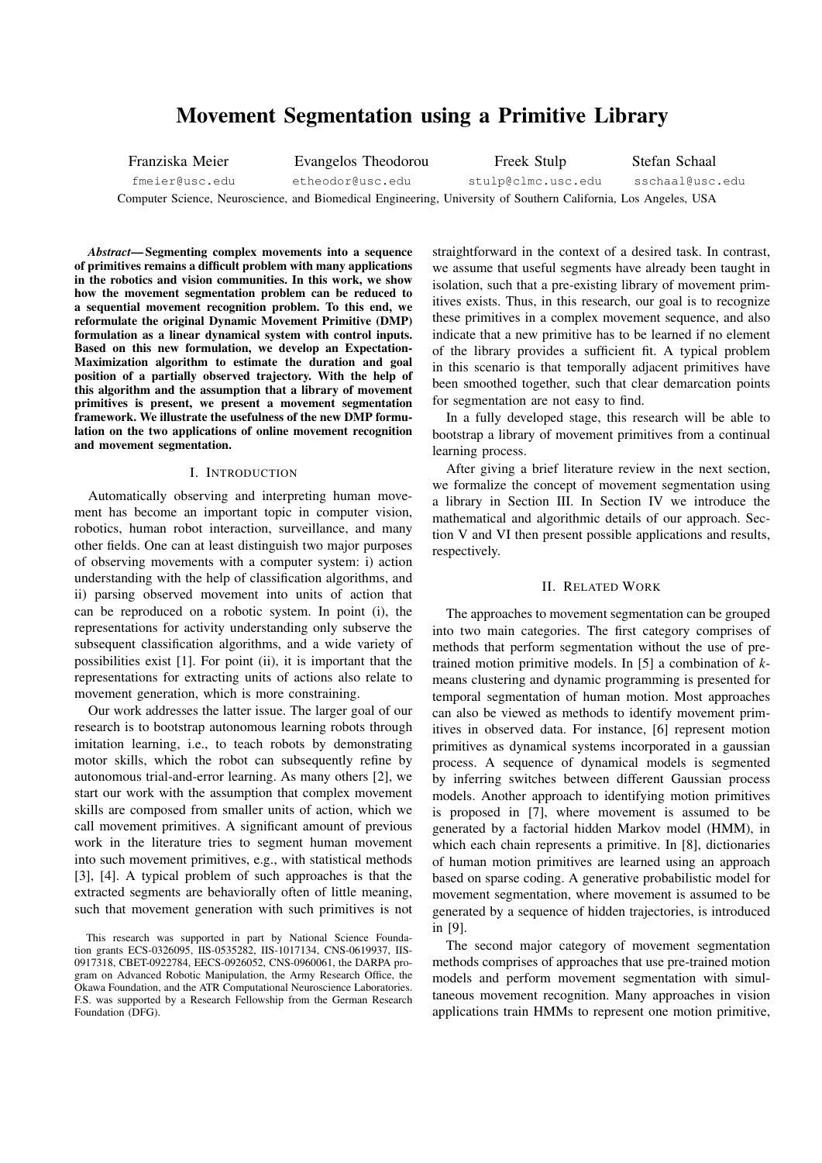# Movement Segmentation using a Primitive Library

Franziska Meier Evangelos Theodorou Freek Stulp Stefan Schaal

fmeier@usc.edu etheodor@usc.edu stulp@clmc.usc.edu sschaal@usc.edu

Computer Science, Neuroscience, and Biomedical Engineering, University of Southern California, Los Angeles, USA

*Abstract*— Segmenting complex movements into a sequence of primitives remains a difficult problem with many applications in the robotics and vision communities. In this work, we show how the movement segmentation problem can be reduced to a sequential movement recognition problem. To this end, we reformulate the original Dynamic Movement Primitive (DMP) formulation as a linear dynamical system with control inputs. Based on this new formulation, we develop an Expectation-Maximization algorithm to estimate the duration and goal position of a partially observed trajectory. With the help of this algorithm and the assumption that a library of movement primitives is present, we present a movement segmentation framework. We illustrate the usefulness of the new DMP formulation on the two applications of online movement recognition and movement segmentation.

#### I. INTRODUCTION

Automatically observing and interpreting human movement has become an important topic in computer vision, robotics, human robot interaction, surveillance, and many other fields. One can at least distinguish two major purposes of observing movements with a computer system: i) action understanding with the help of classification algorithms, and ii) parsing observed movement into units of action that can be reproduced on a robotic system. In point (i), the representations for activity understanding only subserve the subsequent classification algorithms, and a wide variety of possibilities exist [1]. For point (ii), it is important that the representations for extracting units of actions also relate to movement generation, which is more constraining.

Our work addresses the latter issue. The larger goal of our research is to bootstrap autonomous learning robots through imitation learning, i.e., to teach robots by demonstrating motor skills, which the robot can subsequently refine by autonomous trial-and-error learning. As many others [2], we start our work with the assumption that complex movement skills are composed from smaller units of action, which we call movement primitives. A significant amount of previous work in the literature tries to segment human movement into such movement primitives, e.g., with statistical methods [3], [4]. A typical problem of such approaches is that the extracted segments are behaviorally often of little meaning, such that movement generation with such primitives is not

straightforward in the context of a desired task. In contrast, we assume that useful segments have already been taught in isolation, such that a pre-existing library of movement primitives exists. Thus, in this research, our goal is to recognize these primitives in a complex movement sequence, and also indicate that a new primitive has to be learned if no element of the library provides a sufficient fit. A typical problem in this scenario is that temporally adjacent primitives have been smoothed together, such that clear demarcation points for segmentation are not easy to find.

In a fully developed stage, this research will be able to bootstrap a library of movement primitives from a continual learning process.

After giving a brief literature review in the next section, we formalize the concept of movement segmentation using a library in Section III. In Section IV we introduce the mathematical and algorithmic details of our approach. Section V and VI then present possible applications and results, respectively.

#### II. RELATED WORK

The approaches to movement segmentation can be grouped into two main categories. The first category comprises of methods that perform segmentation without the use of pretrained motion primitive models. In [5] a combination of *k*means clustering and dynamic programming is presented for temporal segmentation of human motion. Most approaches can also be viewed as methods to identify movement primitives in observed data. For instance, [6] represent motion primitives as dynamical systems incorporated in a gaussian process. A sequence of dynamical models is segmented by inferring switches between different Gaussian process models. Another approach to identifying motion primitives is proposed in [7], where movement is assumed to be generated by a factorial hidden Markov model (HMM), in which each chain represents a primitive. In [8], dictionaries of human motion primitives are learned using an approach based on sparse coding. A generative probabilistic model for movement segmentation, where movement is assumed to be generated by a sequence of hidden trajectories, is introduced in [9].

The second major category of movement segmentation methods comprises of approaches that use pre-trained motion models and perform movement segmentation with simultaneous movement recognition. Many approaches in vision applications train HMMs to represent one motion primitive,

This research was supported in part by National Science Foundation grants ECS-0326095, IIS-0535282, IIS-1017134, CNS-0619937, IIS-0917318, CBET-0922784, EECS-0926052, CNS-0960061, the DARPA program on Advanced Robotic Manipulation, the Army Research Office, the Okawa Foundation, and the ATR Computational Neuroscience Laboratories. F.S. was supported by a Research Fellowship from the German Research Foundation (DFG).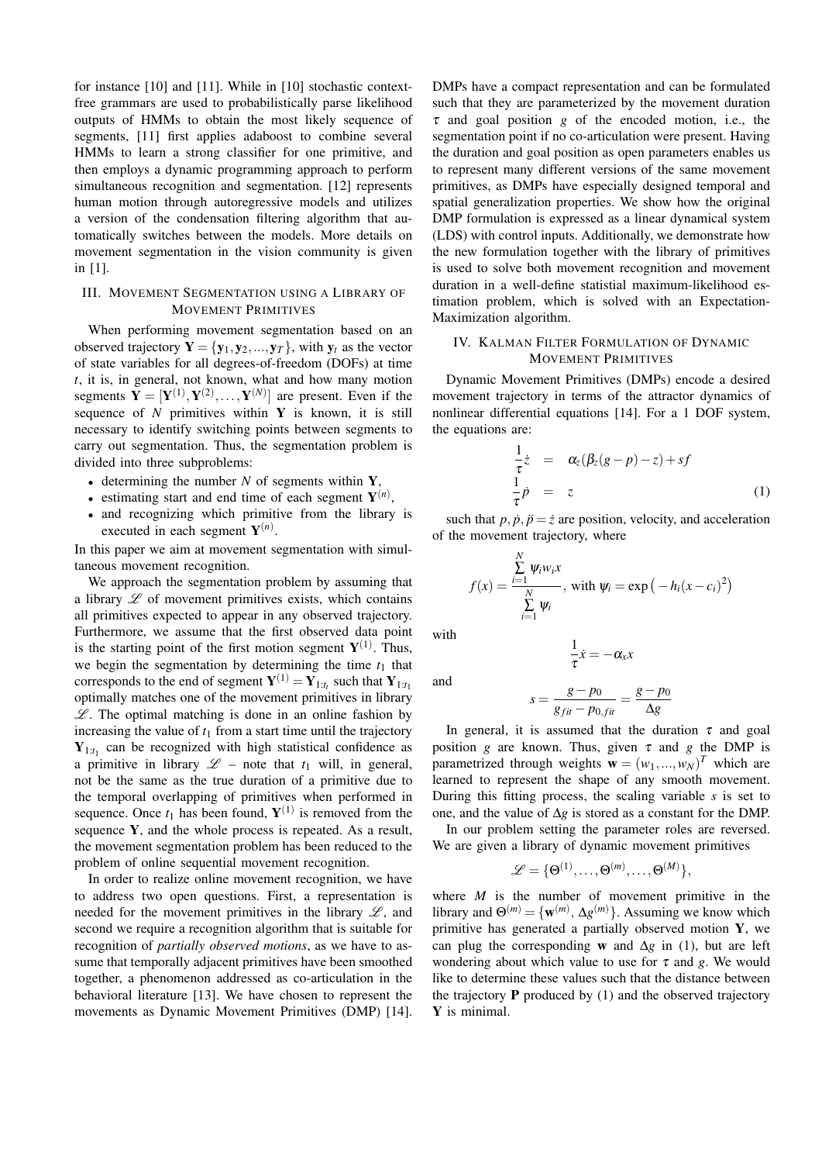for instance [10] and [11]. While in [10] stochastic contextfree grammars are used to probabilistically parse likelihood outputs of HMMs to obtain the most likely sequence of segments, [11] first applies adaboost to combine several HMMs to learn a strong classifier for one primitive, and then employs a dynamic programming approach to perform simultaneous recognition and segmentation. [12] represents human motion through autoregressive models and utilizes a version of the condensation filtering algorithm that automatically switches between the models. More details on movement segmentation in the vision community is given in [1].

# III. MOVEMENT SEGMENTATION USING A LIBRARY OF MOVEMENT PRIMITIVES

When performing movement segmentation based on an observed trajectory  $\mathbf{Y} = {\mathbf{y}_1, \mathbf{y}_2, ..., \mathbf{y}_T}$ , with  $\mathbf{y}_t$  as the vector of state variables for all degrees-of-freedom (DOFs) at time *t*, it is, in general, not known, what and how many motion segments  $Y = [Y^{(1)}, Y^{(2)}, \dots, Y^{(N)}]$  are present. Even if the sequence of  $N$  primitives within  $Y$  is known, it is still necessary to identify switching points between segments to carry out segmentation. Thus, the segmentation problem is divided into three subproblems:

- determining the number *N* of segments within Y,
- estimating start and end time of each segment  $Y^{(n)}$ ,
- and recognizing which primitive from the library is executed in each segment  $Y^{(n)}$ .

In this paper we aim at movement segmentation with simultaneous movement recognition.

We approach the segmentation problem by assuming that a library  $\mathscr L$  of movement primitives exists, which contains all primitives expected to appear in any observed trajectory. Furthermore, we assume that the first observed data point is the starting point of the first motion segment  $Y^{(1)}$ . Thus, we begin the segmentation by determining the time  $t_1$  that corresponds to the end of segment  $\mathbf{Y}^{(1)} = \mathbf{Y}_{1:t_t}$  such that  $\mathbf{Y}_{1:t_1}$ optimally matches one of the movement primitives in library  $\mathscr{L}$ . The optimal matching is done in an online fashion by increasing the value of  $t_1$  from a start time until the trajectory  $Y_{1:t_1}$  can be recognized with high statistical confidence as a primitive in library  $\mathscr{L}$  – note that  $t_1$  will, in general, not be the same as the true duration of a primitive due to the temporal overlapping of primitives when performed in sequence. Once  $t_1$  has been found,  $Y^{(1)}$  is removed from the sequence Y, and the whole process is repeated. As a result, the movement segmentation problem has been reduced to the problem of online sequential movement recognition.

In order to realize online movement recognition, we have to address two open questions. First, a representation is needed for the movement primitives in the library  $\mathscr{L}$ , and second we require a recognition algorithm that is suitable for recognition of *partially observed motions*, as we have to assume that temporally adjacent primitives have been smoothed together, a phenomenon addressed as co-articulation in the behavioral literature [13]. We have chosen to represent the movements as Dynamic Movement Primitives (DMP) [14].

DMPs have a compact representation and can be formulated such that they are parameterized by the movement duration τ and goal position *g* of the encoded motion, i.e., the segmentation point if no co-articulation were present. Having the duration and goal position as open parameters enables us to represent many different versions of the same movement primitives, as DMPs have especially designed temporal and spatial generalization properties. We show how the original DMP formulation is expressed as a linear dynamical system (LDS) with control inputs. Additionally, we demonstrate how the new formulation together with the library of primitives is used to solve both movement recognition and movement duration in a well-define statistial maximum-likelihood estimation problem, which is solved with an Expectation-Maximization algorithm.

# IV. KALMAN FILTER FORMULATION OF DYNAMIC MOVEMENT PRIMITIVES

Dynamic Movement Primitives (DMPs) encode a desired movement trajectory in terms of the attractor dynamics of nonlinear differential equations [14]. For a 1 DOF system, the equations are:

$$
\frac{1}{\tau}\dot{z} = \alpha_z(\beta_z(g-p)-z) + sf
$$
\n
$$
\frac{1}{\tau}\dot{p} = z
$$
\n(1)

such that  $p, \dot{p}, \ddot{p} = \dot{z}$  are position, velocity, and acceleration of the movement trajectory, where

$$
f(x) = \frac{\sum_{i=1}^{N} \psi_i w_i x}{\sum_{i=1}^{N} \psi_i}, \text{ with } \psi_i = \exp\left(-h_i(x-c_i)^2\right)
$$

with

and

$$
s = \frac{g - p_0}{g_{fit} - p_{0,fit}} = \frac{g - p_0}{\Delta g}
$$

 $\frac{1}{\tau}\dot{x} = -\alpha_x x$ 

1

In general, it is assumed that the duration  $\tau$  and goal position *g* are known. Thus, given  $\tau$  and *g* the DMP is parametrized through weights  $\mathbf{w} = (w_1, ..., w_N)^T$  which are learned to represent the shape of any smooth movement. During this fitting process, the scaling variable *s* is set to one, and the value of ∆*g* is stored as a constant for the DMP.

In our problem setting the parameter roles are reversed. We are given a library of dynamic movement primitives

$$
\mathcal{L} = \{\Theta^{(1)}, \ldots, \Theta^{(m)}, \ldots, \Theta^{(M)}\},\
$$

where  $M$  is the number of movement primitive in the library and  $\Theta^{(m)} = {\mathbf{w}^{(m)}, \Delta g^{(m)}}$ . Assuming we know which primitive has generated a partially observed motion  $Y$ , we can plug the corresponding w and ∆*g* in (1), but are left wondering about which value to use for  $\tau$  and *g*. We would like to determine these values such that the distance between the trajectory  $P$  produced by  $(1)$  and the observed trajectory Y is minimal.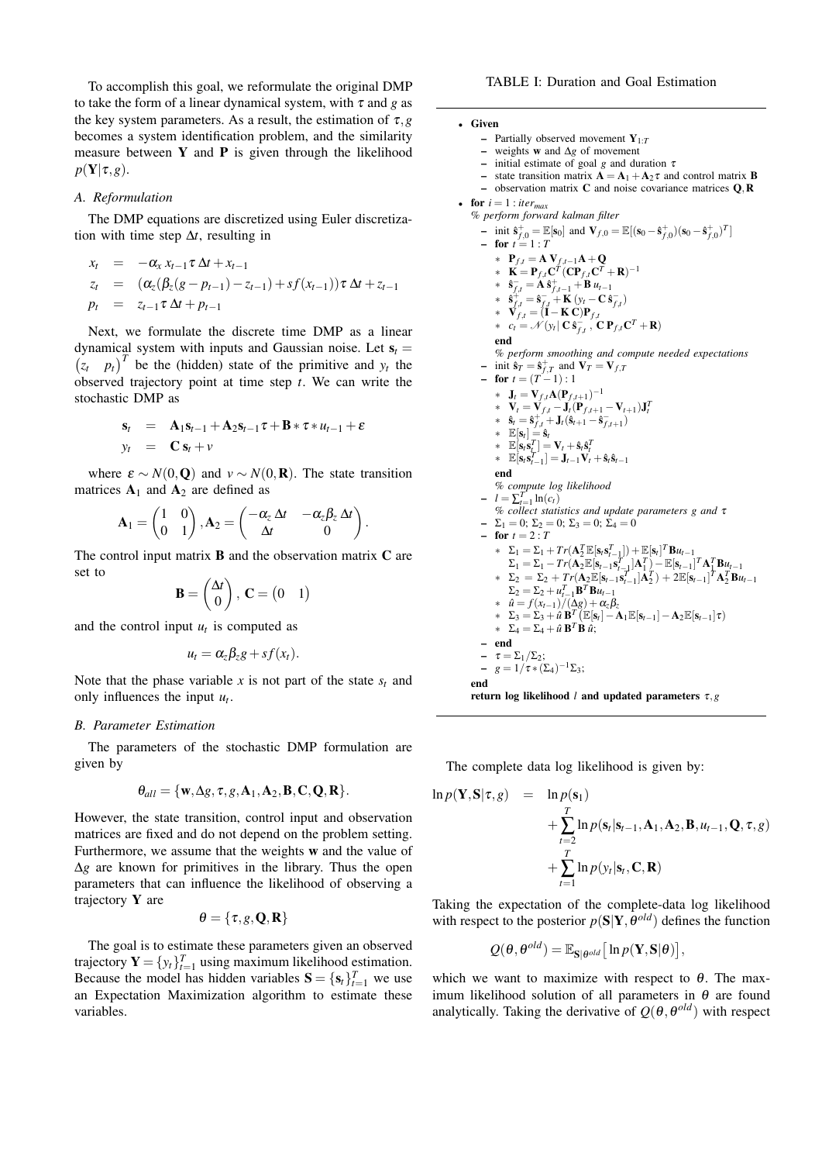To accomplish this goal, we reformulate the original DMP to take the form of a linear dynamical system, with τ and *g* as the key system parameters. As a result, the estimation of  $\tau$ , *g* becomes a system identification problem, and the similarity measure between  $Y$  and  $P$  is given through the likelihood  $p(Y|\tau,g)$ .

# *A. Reformulation*

The DMP equations are discretized using Euler discretization with time step ∆*t*, resulting in

$$
x_t = -\alpha_x x_{t-1} \tau \Delta t + x_{t-1}
$$
  
\n
$$
z_t = (\alpha_z (\beta_z (g - p_{t-1}) - z_{t-1}) + sf(x_{t-1})) \tau \Delta t + z_{t-1}
$$
  
\n
$$
p_t = z_{t-1} \tau \Delta t + p_{t-1}
$$

Next, we formulate the discrete time DMP as a linear dynamical system with inputs and Gaussian noise. Let  $s_t$  $(z_t$  *p<sub>t</sub>*)<sup>*T*</sup> be the (hidden) state of the primitive and *y<sub>t</sub>* the observed trajectory point at time step *t*. We can write the stochastic DMP as

$$
\begin{array}{rcl}\n\mathbf{s}_t & = & \mathbf{A}_1 \mathbf{s}_{t-1} + \mathbf{A}_2 \mathbf{s}_{t-1} \tau + \mathbf{B} * \tau * u_{t-1} + \varepsilon \\
y_t & = & \mathbf{C} \, \mathbf{s}_t + v\n\end{array}
$$

where  $\varepsilon \sim N(0, \mathbf{Q})$  and  $v \sim N(0, \mathbf{R})$ . The state transition matrices  $A_1$  and  $A_2$  are defined as

$$
\mathbf{A}_1 = \begin{pmatrix} 1 & 0 \\ 0 & 1 \end{pmatrix}, \mathbf{A}_2 = \begin{pmatrix} -\alpha_z \Delta t & -\alpha_z \beta_z \Delta t \\ \Delta t & 0 \end{pmatrix}.
$$

The control input matrix  $\bf{B}$  and the observation matrix  $\bf{C}$  are set to

$$
\mathbf{B} = \begin{pmatrix} \Delta t \\ 0 \end{pmatrix}, \ \mathbf{C} = \begin{pmatrix} 0 & 1 \end{pmatrix}
$$

and the control input  $u_t$  is computed as

$$
u_t = \alpha_z \beta_z g + s f(x_t).
$$

Note that the phase variable x is not part of the state  $s_t$  and only influences the input  $u_t$ .

#### *B. Parameter Estimation*

The parameters of the stochastic DMP formulation are given by

$$
\theta_{all} = \{ \mathbf{w}, \Delta g, \tau, g, \mathbf{A}_1, \mathbf{A}_2, \mathbf{B}, \mathbf{C}, \mathbf{Q}, \mathbf{R} \}.
$$

However, the state transition, control input and observation matrices are fixed and do not depend on the problem setting. Furthermore, we assume that the weights w and the value of ∆*g* are known for primitives in the library. Thus the open parameters that can influence the likelihood of observing a trajectory Y are

$$
\theta = \{\tau, g, \mathbf{Q}, \mathbf{R}\}
$$

The goal is to estimate these parameters given an observed trajectory  $\mathbf{Y} = \{y_t\}_{t=1}^T$  using maximum likelihood estimation. Because the model has hidden variables  $S = \{s_t\}_{t=1}^T$  we use an Expectation Maximization algorithm to estimate these variables.

• Given – Partially observed movement  $Y_{1:T}$ – weights w and ∆*g* of movement – initial estimate of goal *g* and duration τ – state transition matrix  $\mathbf{A} = \mathbf{A}_1 + \mathbf{A}_2 \tau$  and control matrix **B** – observation matrix  $C$  and noise covariance matrices  $O$ ,  $R$ • for  $i = 1$  : *iter<sub>max</sub>* % *perform forward kalman filter −* init  $\hat{\mathbf{s}}_{f,0}^{+} = \mathbb{E}[\mathbf{s}_0]$  and  $\mathbf{V}_{f,0} = \mathbb{E}[(\mathbf{s}_0 - \hat{\mathbf{s}}_{f,0}^{+})(\mathbf{s}_0 - \hat{\mathbf{s}}_{f,0}^{+})^T]$  $-$  for  $t = 1:7$ ∗ P*f*,*<sup>t</sup>* = A V*f*,*t*−1A+Q \*  $\mathbf{K} = \mathbf{P}_{f,t} \mathbf{C}^T (\mathbf{C} \mathbf{P}_{f,t} \mathbf{C}^T + \mathbf{R})^{-1}$  $\hat{\mathbf{s}}_{f,t} = \mathbf{A} \hat{\mathbf{s}}_{f,t-1}^+ + \mathbf{B} u_{t-1}$  $\hat{\mathbf{s}}_{f,t}^{+} = \hat{\mathbf{s}}_{f,t}^{-} + \mathbf{K} (y_t - \mathbf{C} \hat{\mathbf{s}}_{f,t}^{-})$ ∗ V*f*,*<sup>t</sup>* = (I−K C)P*f*,*<sup>t</sup>* \*  $c_t = \mathcal{N}(y_t | \mathbf{C} \hat{\mathbf{s}}_{f,t}^{-1}, \mathbf{C} \mathbf{P}_{f,t} \mathbf{C}^T + \mathbf{R})$ end % *perform smoothing and compute needed expectations*  $\mathbf{F} = \hat{\mathbf{s}}_{f,T}^+$  and  $\mathbf{V}_T = \mathbf{V}_{f,T}$  $-$  for  $t = (T - 1) : 1$ ∗ J*<sup>t</sup>* = V*f*,*t*A(P*f*,*t*+1) −1 ∗ V*<sup>t</sup>* = V*f*,*<sup>t</sup>* −J*t*(P*f*,*t*+<sup>1</sup> −V*t*+1)J *T t* \*  $\hat{\mathbf{s}}_t = \hat{\mathbf{s}}_{f,t}^{+} + \mathbf{J}_t(\hat{\mathbf{s}}_{t+1} - \hat{\mathbf{s}}_{f,t+1}^{-})$  $\mathbb{E}[\mathbf{s}_t] = \hat{\mathbf{s}}_t \ \ast \ \mathbb{E}[\mathbf{s}_t \mathbf{s}_t^T] = \mathbf{V}_t + \hat{\mathbf{s}}_t \hat{\mathbf{s}}_t^T \ \ast \ \mathbb{E}[\mathbf{s}_t \mathbf{s}_{t-1}^T] = \mathbf{J}_{t-1} \mathbf{V}_t + \hat{\mathbf{s}}_t \hat{\mathbf{s}}_{t-1}$ end % *compute log likelihood*  $-l = \sum_{t=1}^{T} \ln(c_t)$ % *collect statistics and update parameters g and* τ – Σ<sub>1</sub> = 0; Σ<sub>2</sub> = 0; Σ<sub>3</sub> = 0; Σ<sub>4</sub> = 0  $-$  for  $t = 2 : T$ 

 $\mathbf{X} \times \Sigma_1 = \Sigma_1 + Tr(\mathbf{A}_2^T \mathbb{E}[\mathbf{s}_t \mathbf{s}_{t-1}^T]) + \mathbb{E}[\mathbf{s}_t]^T \mathbf{B} u_{t-1}$ 

return log likelihood *l* and updated parameters τ,*g*

 $\Sigma_2 = \Sigma_2 + u_{t-1}^T \mathbf{B}^T \mathbf{B} u_{t-1}$  $\hat{u} = f(x_{t-1})/(\Delta g) + \alpha_z \beta_z$ 

 $\ast$  Σ<sub>4</sub> = Σ<sub>4</sub> + *û***B**<sup>T</sup>**B** *û*;

– end  $-\tau = \Sigma_1/\Sigma_2;$  $-$  *g* = 1/τ \* (Σ<sub>4</sub>)<sup>-1</sup>Σ<sub>3</sub>;

end

 $\Sigma_1 = \Sigma_1 - Tr(\mathbf{A}_2 \mathbb{E}[\mathbf{s}_{t-1}\mathbf{s}_{t-1}^T] \mathbf{A}_1^T) - \mathbb{E}[\mathbf{s}_{t-1}]^T \mathbf{A}_1^T \mathbf{B}_{u_{t-1}}$ <br>
\*  $\Sigma_2 = \Sigma_2 + Tr(\mathbf{A}_2 \mathbb{E}[\mathbf{s}_{t-1}\mathbf{s}_{t-1}^T] \mathbf{A}_2^T) + 2 \mathbb{E}[\mathbf{s}_{t-1}]^T \mathbf{A}_2^T \mathbf{B}_{u_{t-1}}$ 

 $\mathbf{r} \times \Sigma_3 = \Sigma_3 + \hat{u} \mathbf{B}^T (\mathbb{E}[\mathbf{s}_t] - \mathbf{A}_1 \mathbb{E}[\mathbf{s}_{t-1}] - \mathbf{A}_2 \mathbb{E}[\mathbf{s}_{t-1}] \tau)$ 

The complete data log likelihood is given by:

$$
\ln p(\mathbf{Y}, \mathbf{S} | \tau, g) = \ln p(\mathbf{s}_1) \n+ \sum_{t=2}^{T} \ln p(\mathbf{s}_t | \mathbf{s}_{t-1}, \mathbf{A}_1, \mathbf{A}_2, \mathbf{B}, u_{t-1}, \mathbf{Q}, \tau, g) \n+ \sum_{t=1}^{T} \ln p(y_t | \mathbf{s}_t, \mathbf{C}, \mathbf{R})
$$

Taking the expectation of the complete-data log likelihood with respect to the posterior  $p(S|Y, \theta^{old})$  defines the function

$$
Q(\boldsymbol{\theta}, \boldsymbol{\theta}^{old}) = \mathbb{E}_{\mathbf{S}|\boldsymbol{\theta}^{old}} \big[ \ln p(\mathbf{Y}, \mathbf{S}|\boldsymbol{\theta}) \big],
$$

which we want to maximize with respect to  $\theta$ . The maximum likelihood solution of all parameters in  $\theta$  are found analytically. Taking the derivative of  $Q(\theta, \theta^{old})$  with respect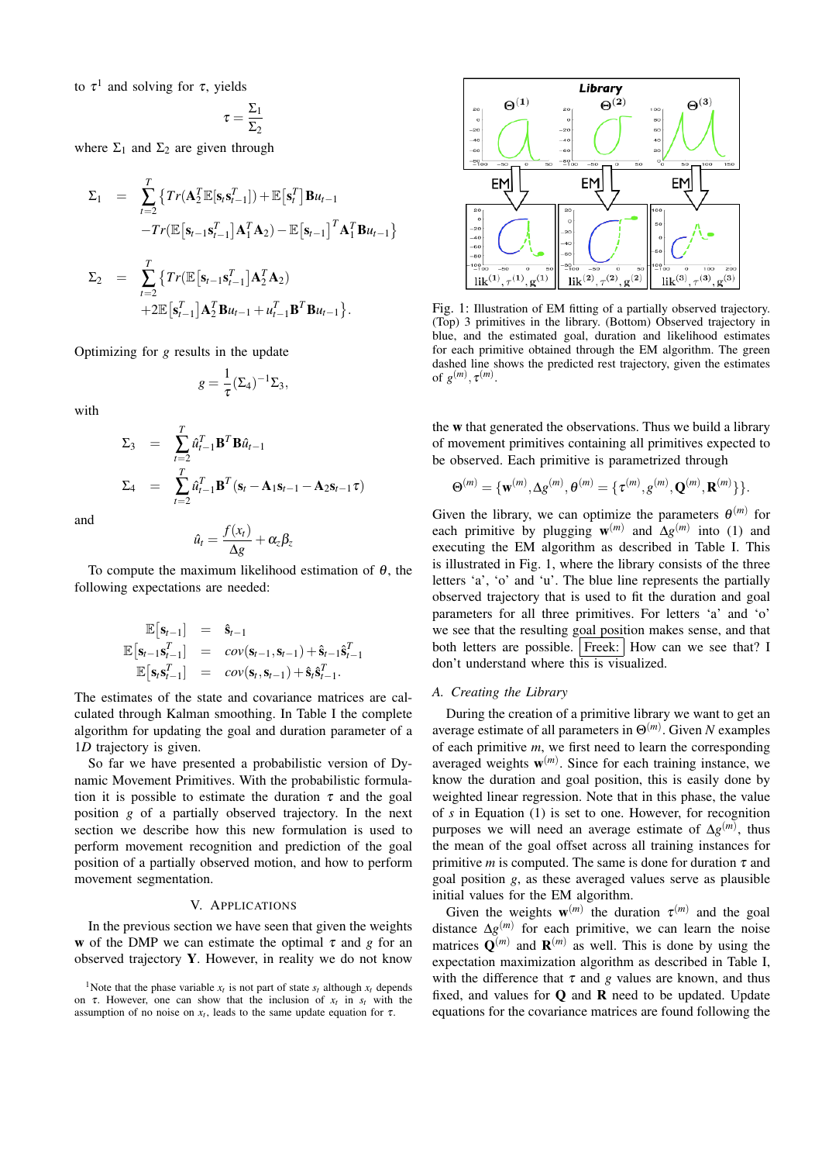to  $\tau^1$  and solving for  $\tau$ , yields

$$
\tau = \frac{\Sigma_1}{\Sigma_2}
$$

where  $\Sigma_1$  and  $\Sigma_2$  are given through

$$
\Sigma_{1} = \sum_{t=2}^{T} \{ Tr(\mathbf{A}_{2}^{T} \mathbb{E}[\mathbf{s}_{t} \mathbf{s}_{t-1}^{T}]) + \mathbb{E}[\mathbf{s}_{t}^{T}] \mathbf{B} u_{t-1} \n- Tr(\mathbb{E}[\mathbf{s}_{t-1} \mathbf{s}_{t-1}^{T}] \mathbf{A}_{1}^{T} \mathbf{A}_{2}) - \mathbb{E}[\mathbf{s}_{t-1}]^{T} \mathbf{A}_{1}^{T} \mathbf{B} u_{t-1} \} \n\Sigma_{2} = \sum_{t=2}^{T} \{ Tr(\mathbb{E}[\mathbf{s}_{t-1} \mathbf{s}_{t-1}^{T}] \mathbf{A}_{2}^{T} \mathbf{A}_{2}) \n+ 2 \mathbb{E}[\mathbf{s}_{t-1}^{T}] \mathbf{A}_{2}^{T} \mathbf{B} u_{t-1} + u_{t-1}^{T} \mathbf{B}^{T} \mathbf{B} u_{t-1} \}.
$$

Optimizing for *g* results in the update

$$
g = \frac{1}{\tau} (\Sigma_4)^{-1} \Sigma_3,
$$

with

$$
\Sigma_3 = \sum_{t=2}^T \hat{u}_{t-1}^T \mathbf{B}^T \mathbf{B} \hat{u}_{t-1}
$$
  

$$
\Sigma_4 = \sum_{t=2}^T \hat{u}_{t-1}^T \mathbf{B}^T (\mathbf{s}_t - \mathbf{A}_1 \mathbf{s}_{t-1} - \mathbf{A}_2 \mathbf{s}_{t-1} \tau)
$$

and

$$
\hat{u}_t = \frac{f(x_t)}{\Delta g} + \alpha_z \beta_z
$$

To compute the maximum likelihood estimation of  $\theta$ , the following expectations are needed:

$$
\mathbb{E}\left[\mathbf{s}_{t-1}\right] = \hat{\mathbf{s}}_{t-1} \n\mathbb{E}\left[\mathbf{s}_{t-1}\mathbf{s}_{t-1}^T\right] = cov(\mathbf{s}_{t-1}, \mathbf{s}_{t-1}) + \hat{\mathbf{s}}_{t-1}\hat{\mathbf{s}}_{t-1}^T \n\mathbb{E}\left[\mathbf{s}_t\mathbf{s}_{t-1}^T\right] = cov(\mathbf{s}_t, \mathbf{s}_{t-1}) + \hat{\mathbf{s}}_t\hat{\mathbf{s}}_{t-1}^T.
$$

The estimates of the state and covariance matrices are calculated through Kalman smoothing. In Table I the complete algorithm for updating the goal and duration parameter of a 1*D* trajectory is given.

So far we have presented a probabilistic version of Dynamic Movement Primitives. With the probabilistic formulation it is possible to estimate the duration  $\tau$  and the goal position *g* of a partially observed trajectory. In the next section we describe how this new formulation is used to perform movement recognition and prediction of the goal position of a partially observed motion, and how to perform movement segmentation.

## V. APPLICATIONS

In the previous section we have seen that given the weights w of the DMP we can estimate the optimal  $\tau$  and  $\varrho$  for an observed trajectory Y. However, in reality we do not know



Fig. 1: Illustration of EM fitting of a partially observed trajectory. (Top) 3 primitives in the library. (Bottom) Observed trajectory in blue, and the estimated goal, duration and likelihood estimates for each primitive obtained through the EM algorithm. The green dashed line shows the predicted rest trajectory, given the estimates of  $g^{(m)}$ ,  $\tau^{(m)}$ .

the w that generated the observations. Thus we build a library of movement primitives containing all primitives expected to be observed. Each primitive is parametrized through

$$
\Theta^{(m)} = \{ \mathbf{w}^{(m)}, \Delta g^{(m)}, \theta^{(m)} = \{ \tau^{(m)}, g^{(m)}, \mathbf{Q}^{(m)}, \mathbf{R}^{(m)} \} \}.
$$

Given the library, we can optimize the parameters  $\theta^{(m)}$  for each primitive by plugging  $\mathbf{w}^{(m)}$  and  $\Delta g^{(m)}$  into (1) and executing the EM algorithm as described in Table I. This is illustrated in Fig. 1, where the library consists of the three letters 'a', 'o' and 'u'. The blue line represents the partially observed trajectory that is used to fit the duration and goal parameters for all three primitives. For letters 'a' and 'o' we see that the resulting goal position makes sense, and that both letters are possible. Freek: How can we see that? I don't understand where this is visualized.

### *A. Creating the Library*

During the creation of a primitive library we want to get an average estimate of all parameters in  $\Theta^{(m)}$ . Given *N* examples of each primitive *m*, we first need to learn the corresponding averaged weights  $w^{(m)}$ . Since for each training instance, we know the duration and goal position, this is easily done by weighted linear regression. Note that in this phase, the value of *s* in Equation (1) is set to one. However, for recognition purposes we will need an average estimate of ∆*g* (*m*) , thus the mean of the goal offset across all training instances for primitive *m* is computed. The same is done for duration  $\tau$  and goal position *g*, as these averaged values serve as plausible initial values for the EM algorithm.

Given the weights  $\mathbf{w}^{(m)}$  the duration  $\tau^{(m)}$  and the goal distance  $\Delta g^{(m)}$  for each primitive, we can learn the noise matrices  $\mathbf{Q}^{(m)}$  and  $\mathbf{R}^{(m)}$  as well. This is done by using the expectation maximization algorithm as described in Table I, with the difference that  $\tau$  and *g* values are known, and thus fixed, and values for  $Q$  and  $R$  need to be updated. Update equations for the covariance matrices are found following the

<sup>&</sup>lt;sup>1</sup>Note that the phase variable  $x_t$  is not part of state  $s_t$  although  $x_t$  depends on  $\tau$ . However, one can show that the inclusion of  $x_t$  in  $s_t$  with the assumption of no noise on  $x_t$ , leads to the same update equation for  $\tau$ .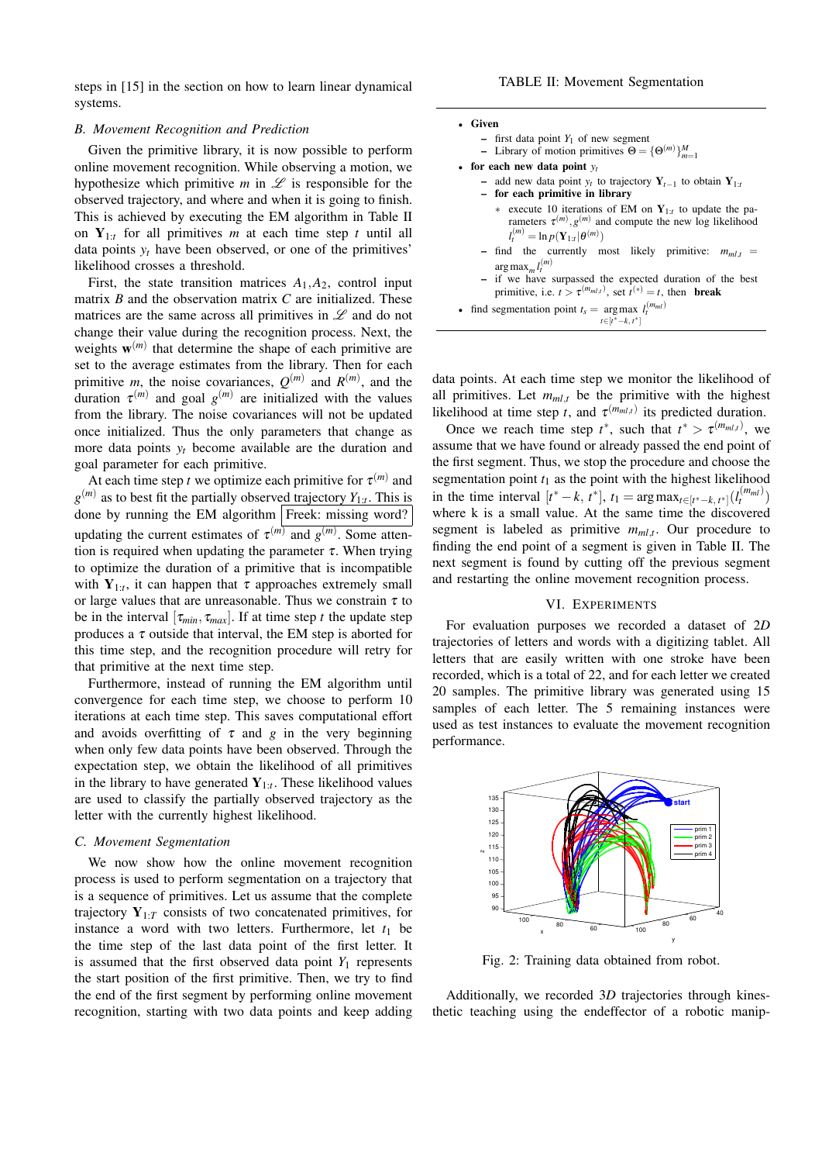steps in [15] in the section on how to learn linear dynamical systems.

## *B. Movement Recognition and Prediction*

Given the primitive library, it is now possible to perform online movement recognition. While observing a motion, we hypothesize which primitive  $m$  in  $\mathscr L$  is responsible for the observed trajectory, and where and when it is going to finish. This is achieved by executing the EM algorithm in Table II on  $Y_{1:t}$  for all primitives *m* at each time step *t* until all data points  $y_t$  have been observed, or one of the primitives' likelihood crosses a threshold.

First, the state transition matrices  $A_1, A_2$ , control input matrix *B* and the observation matrix *C* are initialized. These matrices are the same across all primitives in  $\mathscr L$  and do not change their value during the recognition process. Next, the weights  $\mathbf{w}^{(m)}$  that determine the shape of each primitive are set to the average estimates from the library. Then for each primitive *m*, the noise covariances,  $Q^{(m)}$  and  $R^{(m)}$ , and the duration  $\tau^{(m)}$  and goal  $g^{(m)}$  are initialized with the values from the library. The noise covariances will not be updated once initialized. Thus the only parameters that change as more data points *y<sup>t</sup>* become available are the duration and goal parameter for each primitive.

At each time step *t* we optimize each primitive for  $\tau^{(m)}$  and  $g^{(m)}$  as to best fit the partially observed trajectory  $Y_{1:t}$ . This is done by running the EM algorithm Freek: missing word? updating the current estimates of  $\tau^{(m)}$  and  $g^{(m)}$ . Some attention is required when updating the parameter  $\tau$ . When trying to optimize the duration of a primitive that is incompatible with  $Y_{1:t}$ , it can happen that  $\tau$  approaches extremely small or large values that are unreasonable. Thus we constrain  $\tau$  to be in the interval  $[\tau_{min}, \tau_{max}]$ . If at time step *t* the update step produces a  $\tau$  outside that interval, the EM step is aborted for this time step, and the recognition procedure will retry for that primitive at the next time step.

Furthermore, instead of running the EM algorithm until convergence for each time step, we choose to perform 10 iterations at each time step. This saves computational effort and avoids overfitting of  $\tau$  and  $g$  in the very beginning when only few data points have been observed. Through the expectation step, we obtain the likelihood of all primitives in the library to have generated  $Y_{1:t}$ . These likelihood values are used to classify the partially observed trajectory as the letter with the currently highest likelihood.

## *C. Movement Segmentation*

We now show how the online movement recognition process is used to perform segmentation on a trajectory that is a sequence of primitives. Let us assume that the complete trajectory  $Y_{1:T}$  consists of two concatenated primitives, for instance a word with two letters. Furthermore, let  $t_1$  be the time step of the last data point of the first letter. It is assumed that the first observed data point  $Y_1$  represents the start position of the first primitive. Then, we try to find the end of the first segment by performing online movement recognition, starting with two data points and keep adding

| • Given                                                                                                                                                                                      |
|----------------------------------------------------------------------------------------------------------------------------------------------------------------------------------------------|
| - first data point $Y_1$ of new segment                                                                                                                                                      |
| - Library of motion primitives $\Theta = {\Theta^{(m)}}_{m=1}^M$                                                                                                                             |
| • for each new data point $v_t$                                                                                                                                                              |
| - add new data point $y_t$ to trajectory $Y_{t-1}$ to obtain $Y_{1:t}$<br>- for each primitive in library                                                                                    |
| * execute 10 iterations of EM on $Y_{1:t}$ to update the pa-<br>rameters $\tau^{(m)}$ , $g^{(m)}$ and compute the new log likelihood<br>$l_t^{(m)} = \ln p(\mathbf{Y}_{1:t}   \theta^{(m)})$ |
| - find the currently most likely primitive: $m_{m l,t}$ =<br>$arg max_{m} l_t^{(m)}$                                                                                                         |
| - if we have surpassed the expected duration of the best<br>primitive, i.e. $t > \tau^{(m_{ml,t})}$ , set $\hat{t}^{(*)} = t$ , then <b>break</b>                                            |
| find segmentation point $t_s = \arg \max_l l_t^{(m_{ml})}$                                                                                                                                   |
| $t \in [t^* - k, t^*]$                                                                                                                                                                       |

data points. At each time step we monitor the likelihood of all primitives. Let  $m_{ml,t}$  be the primitive with the highest likelihood at time step *t*, and  $\tau^{(m_{ml,t})}$  its predicted duration.

Once we reach time step  $t^*$ , such that  $t^* > \tau^{(m_{ml,t})}$ , we assume that we have found or already passed the end point of the first segment. Thus, we stop the procedure and choose the segmentation point  $t_1$  as the point with the highest likelihood in the time interval  $[t^* - k, t^*]$ ,  $t_1 = \arg \max_{t \in [t^* - k, t^*]} (l_t^{(m_{ml})})$ where k is a small value. At the same time the discovered segment is labeled as primitive  $m_{ml,t}$ . Our procedure to finding the end point of a segment is given in Table II. The next segment is found by cutting off the previous segment and restarting the online movement recognition process.

#### VI. EXPERIMENTS

For evaluation purposes we recorded a dataset of 2*D* trajectories of letters and words with a digitizing tablet. All letters that are easily written with one stroke have been recorded, which is a total of 22, and for each letter we created 20 samples. The primitive library was generated using 15 samples of each letter. The 5 remaining instances were used as test instances to evaluate the movement recognition performance.



Fig. 2: Training data obtained from robot.

Additionally, we recorded 3*D* trajectories through kinesthetic teaching using the endeffector of a robotic manip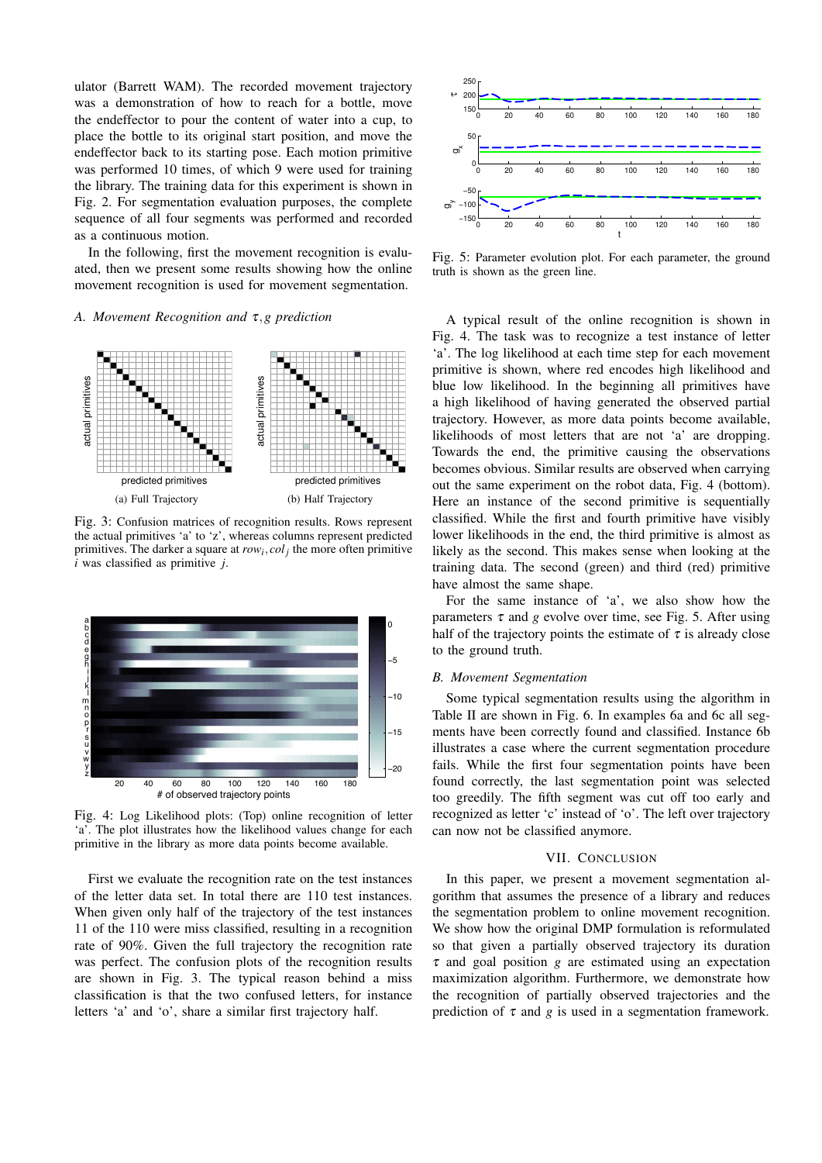ulator (Barrett WAM). The recorded movement trajectory was a demonstration of how to reach for a bottle, move the endeffector to pour the content of water into a cup, to place the bottle to its original start position, and move the endeffector back to its starting pose. Each motion primitive was performed 10 times, of which 9 were used for training the library. The training data for this experiment is shown in Fig. 2. For segmentation evaluation purposes, the complete sequence of all four segments was performed and recorded as a continuous motion.

In the following, first the movement recognition is evaluated, then we present some results showing how the online movement recognition is used for movement segmentation.

#### *A. Movement Recognition and* τ,*g prediction*



Fig. 3: Confusion matrices of recognition results. Rows represent the actual primitives 'a' to 'z', whereas columns represent predicted primitives. The darker a square at *rowi* , *col<sup>j</sup>* the more often primitive *i* was classified as primitive *j*.



Fig. 4: Log Likelihood plots: (Top) online recognition of letter 'a'. The plot illustrates how the likelihood values change for each primitive in the library as more data points become available.

First we evaluate the recognition rate on the test instances of the letter data set. In total there are 110 test instances. When given only half of the trajectory of the test instances 11 of the 110 were miss classified, resulting in a recognition rate of 90%. Given the full trajectory the recognition rate was perfect. The confusion plots of the recognition results are shown in Fig. 3. The typical reason behind a miss classification is that the two confused letters, for instance letters 'a' and 'o', share a similar first trajectory half.



Fig. 5: Parameter evolution plot. For each parameter, the ground truth is shown as the green line.

A typical result of the online recognition is shown in Fig. 4. The task was to recognize a test instance of letter 'a'. The log likelihood at each time step for each movement primitive is shown, where red encodes high likelihood and blue low likelihood. In the beginning all primitives have a high likelihood of having generated the observed partial trajectory. However, as more data points become available, likelihoods of most letters that are not 'a' are dropping. Towards the end, the primitive causing the observations becomes obvious. Similar results are observed when carrying out the same experiment on the robot data, Fig. 4 (bottom). Here an instance of the second primitive is sequentially classified. While the first and fourth primitive have visibly lower likelihoods in the end, the third primitive is almost as likely as the second. This makes sense when looking at the training data. The second (green) and third (red) primitive have almost the same shape.

For the same instance of 'a', we also show how the parameters  $\tau$  and *g* evolve over time, see Fig. 5. After using half of the trajectory points the estimate of  $\tau$  is already close to the ground truth.

## *B. Movement Segmentation*

Some typical segmentation results using the algorithm in Table II are shown in Fig. 6. In examples 6a and 6c all segments have been correctly found and classified. Instance 6b illustrates a case where the current segmentation procedure fails. While the first four segmentation points have been found correctly, the last segmentation point was selected too greedily. The fifth segment was cut off too early and recognized as letter 'c' instead of 'o'. The left over trajectory can now not be classified anymore.

## VII. CONCLUSION

In this paper, we present a movement segmentation algorithm that assumes the presence of a library and reduces the segmentation problem to online movement recognition. We show how the original DMP formulation is reformulated so that given a partially observed trajectory its duration τ and goal position *g* are estimated using an expectation maximization algorithm. Furthermore, we demonstrate how the recognition of partially observed trajectories and the prediction of  $\tau$  and  $g$  is used in a segmentation framework.